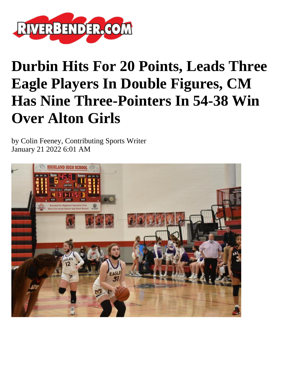

## **Durbin Hits For 20 Points, Leads Three Eagle Players In Double Figures, CM Has Nine Three-Pointers In 54-38 Win Over Alton Girls**

by Colin Feeney, Contributing Sports Writer January 21 2022 6:01 AM

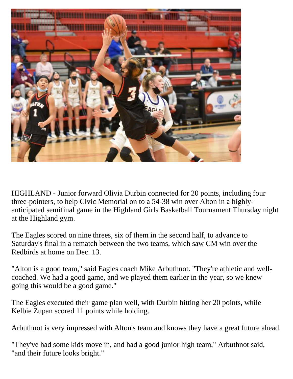

HIGHLAND - Junior forward Olivia Durbin connected for 20 points, including four three-pointers, to help Civic Memorial on to a 54-38 win over Alton in a highlyanticipated semifinal game in the Highland Girls Basketball Tournament Thursday night at the Highland gym.

The Eagles scored on nine threes, six of them in the second half, to advance to Saturday's final in a rematch between the two teams, which saw CM win over the Redbirds at home on Dec. 13.

"Alton is a good team," said Eagles coach Mike Arbuthnot. "They're athletic and wellcoached. We had a good game, and we played them earlier in the year, so we knew going this would be a good game."

The Eagles executed their game plan well, with Durbin hitting her 20 points, while Kelbie Zupan scored 11 points while holding.

Arbuthnot is very impressed with Alton's team and knows they have a great future ahead.

"They've had some kids move in, and had a good junior high team," Arbuthnot said, "and their future looks bright."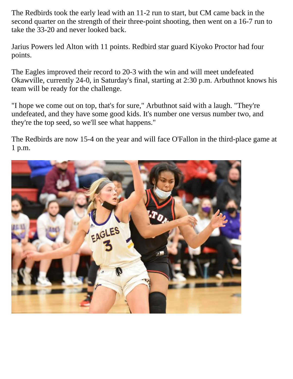The Redbirds took the early lead with an 11-2 run to start, but CM came back in the second quarter on the strength of their three-point shooting, then went on a 16-7 run to take the 33-20 and never looked back.

Jarius Powers led Alton with 11 points. Redbird star guard Kiyoko Proctor had four points.

The Eagles improved their record to 20-3 with the win and will meet undefeated Okawville, currently 24-0, in Saturday's final, starting at 2:30 p.m. Arbuthnot knows his team will be ready for the challenge.

"I hope we come out on top, that's for sure," Arbuthnot said with a laugh. "They're undefeated, and they have some good kids. It's number one versus number two, and they're the top seed, so we'll see what happens."

The Redbirds are now 15-4 on the year and will face O'Fallon in the third-place game at 1 p.m.

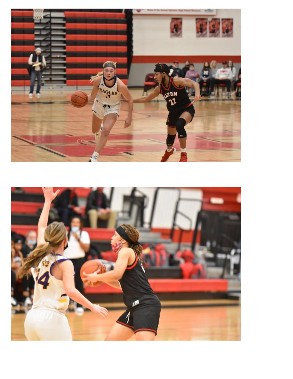